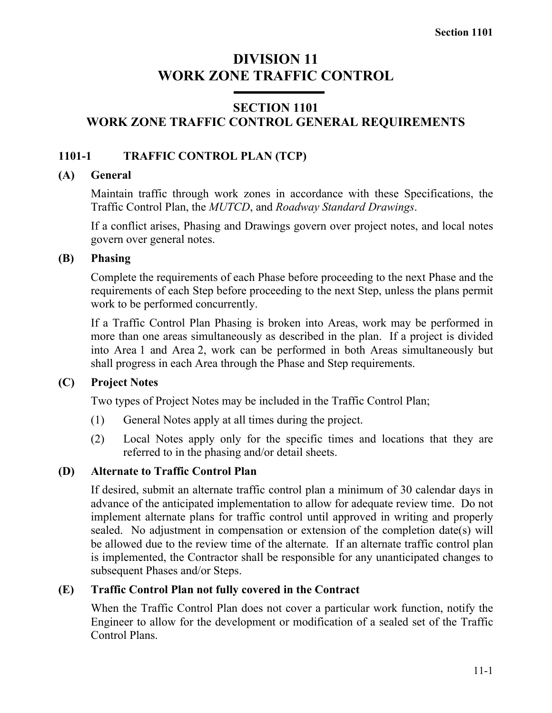# **DIVISION 11 WORK ZONE TRAFFIC CONTROL**

# **SECTION 1101 WORK ZONE TRAFFIC CONTROL GENERAL REQUIREMENTS**

# **1101-1 TRAFFIC CONTROL PLAN (TCP)**

#### **(A) General**

Maintain traffic through work zones in accordance with these Specifications, the Traffic Control Plan, the *MUTCD*, and *Roadway Standard Drawings*.

If a conflict arises, Phasing and Drawings govern over project notes, and local notes govern over general notes.

# **(B) Phasing**

Complete the requirements of each Phase before proceeding to the next Phase and the requirements of each Step before proceeding to the next Step, unless the plans permit work to be performed concurrently.

If a Traffic Control Plan Phasing is broken into Areas, work may be performed in more than one areas simultaneously as described in the plan. If a project is divided into Area 1 and Area 2, work can be performed in both Areas simultaneously but shall progress in each Area through the Phase and Step requirements.

# **(C) Project Notes**

Two types of Project Notes may be included in the Traffic Control Plan;

- (1) General Notes apply at all times during the project.
- (2) Local Notes apply only for the specific times and locations that they are referred to in the phasing and/or detail sheets.

# **(D) Alternate to Traffic Control Plan**

If desired, submit an alternate traffic control plan a minimum of 30 calendar days in advance of the anticipated implementation to allow for adequate review time. Do not implement alternate plans for traffic control until approved in writing and properly sealed. No adjustment in compensation or extension of the completion date(s) will be allowed due to the review time of the alternate. If an alternate traffic control plan is implemented, the Contractor shall be responsible for any unanticipated changes to subsequent Phases and/or Steps.

# **(E) Traffic Control Plan not fully covered in the Contract**

When the Traffic Control Plan does not cover a particular work function, notify the Engineer to allow for the development or modification of a sealed set of the Traffic Control Plans.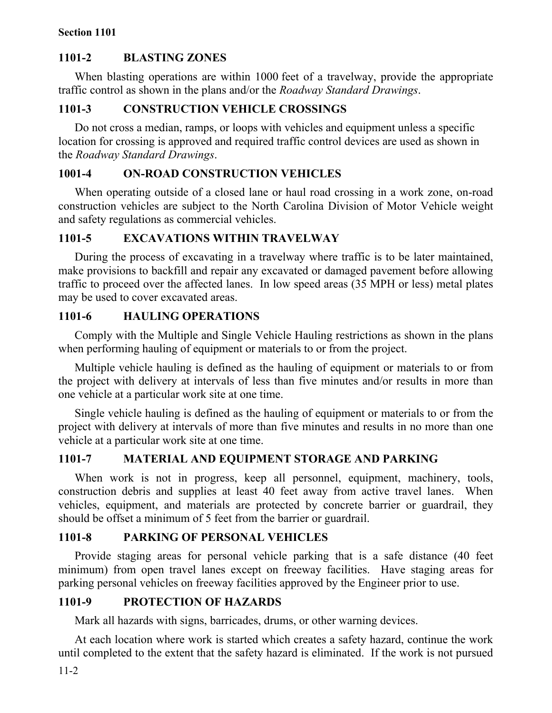# **1101-2 BLASTING ZONES**

When blasting operations are within 1000 feet of a travelway, provide the appropriate traffic control as shown in the plans and/or the *Roadway Standard Drawings*.

#### **1101-3 CONSTRUCTION VEHICLE CROSSINGS**

Do not cross a median, ramps, or loops with vehicles and equipment unless a specific location for crossing is approved and required traffic control devices are used as shown in the *Roadway Standard Drawings*.

# **1001-4 ON-ROAD CONSTRUCTION VEHICLES**

When operating outside of a closed lane or haul road crossing in a work zone, on-road construction vehicles are subject to the North Carolina Division of Motor Vehicle weight and safety regulations as commercial vehicles.

# **1101-5 EXCAVATIONS WITHIN TRAVELWAY**

During the process of excavating in a travelway where traffic is to be later maintained, make provisions to backfill and repair any excavated or damaged pavement before allowing traffic to proceed over the affected lanes. In low speed areas (35 MPH or less) metal plates may be used to cover excavated areas.

# **1101-6 HAULING OPERATIONS**

Comply with the Multiple and Single Vehicle Hauling restrictions as shown in the plans when performing hauling of equipment or materials to or from the project.

Multiple vehicle hauling is defined as the hauling of equipment or materials to or from the project with delivery at intervals of less than five minutes and/or results in more than one vehicle at a particular work site at one time.

Single vehicle hauling is defined as the hauling of equipment or materials to or from the project with delivery at intervals of more than five minutes and results in no more than one vehicle at a particular work site at one time.

# **1101-7 MATERIAL AND EQUIPMENT STORAGE AND PARKING**

When work is not in progress, keep all personnel, equipment, machinery, tools, construction debris and supplies at least 40 feet away from active travel lanes. When vehicles, equipment, and materials are protected by concrete barrier or guardrail, they should be offset a minimum of 5 feet from the barrier or guardrail.

# **1101-8 PARKING OF PERSONAL VEHICLES**

Provide staging areas for personal vehicle parking that is a safe distance (40 feet minimum) from open travel lanes except on freeway facilities. Have staging areas for parking personal vehicles on freeway facilities approved by the Engineer prior to use.

#### **1101-9 PROTECTION OF HAZARDS**

Mark all hazards with signs, barricades, drums, or other warning devices.

At each location where work is started which creates a safety hazard, continue the work until completed to the extent that the safety hazard is eliminated. If the work is not pursued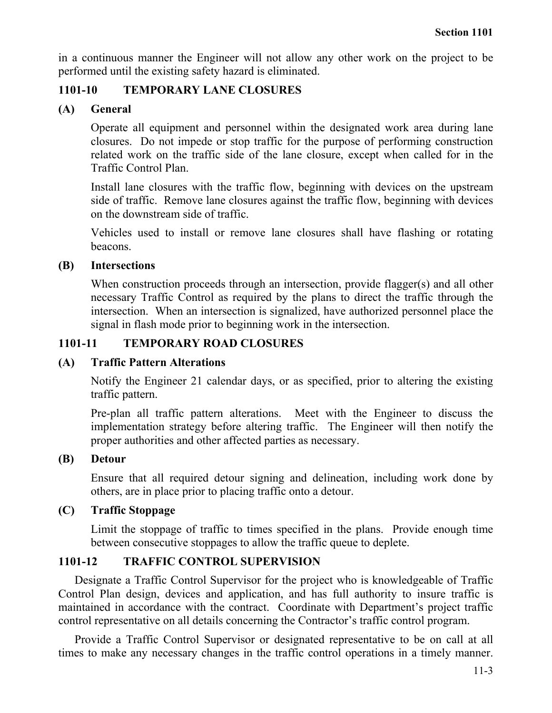in a continuous manner the Engineer will not allow any other work on the project to be performed until the existing safety hazard is eliminated.

## **1101-10 TEMPORARY LANE CLOSURES**

# **(A) General**

Operate all equipment and personnel within the designated work area during lane closures. Do not impede or stop traffic for the purpose of performing construction related work on the traffic side of the lane closure, except when called for in the Traffic Control Plan.

Install lane closures with the traffic flow, beginning with devices on the upstream side of traffic. Remove lane closures against the traffic flow, beginning with devices on the downstream side of traffic.

Vehicles used to install or remove lane closures shall have flashing or rotating beacons.

#### **(B) Intersections**

When construction proceeds through an intersection, provide flagger(s) and all other necessary Traffic Control as required by the plans to direct the traffic through the intersection. When an intersection is signalized, have authorized personnel place the signal in flash mode prior to beginning work in the intersection.

# **1101-11 TEMPORARY ROAD CLOSURES**

#### **(A) Traffic Pattern Alterations**

Notify the Engineer 21 calendar days, or as specified, prior to altering the existing traffic pattern.

Pre-plan all traffic pattern alterations. Meet with the Engineer to discuss the implementation strategy before altering traffic. The Engineer will then notify the proper authorities and other affected parties as necessary.

#### **(B) Detour**

Ensure that all required detour signing and delineation, including work done by others, are in place prior to placing traffic onto a detour.

# **(C) Traffic Stoppage**

Limit the stoppage of traffic to times specified in the plans. Provide enough time between consecutive stoppages to allow the traffic queue to deplete.

# **1101-12 TRAFFIC CONTROL SUPERVISION**

Designate a Traffic Control Supervisor for the project who is knowledgeable of Traffic Control Plan design, devices and application, and has full authority to insure traffic is maintained in accordance with the contract. Coordinate with Department's project traffic control representative on all details concerning the Contractor's traffic control program.

Provide a Traffic Control Supervisor or designated representative to be on call at all times to make any necessary changes in the traffic control operations in a timely manner.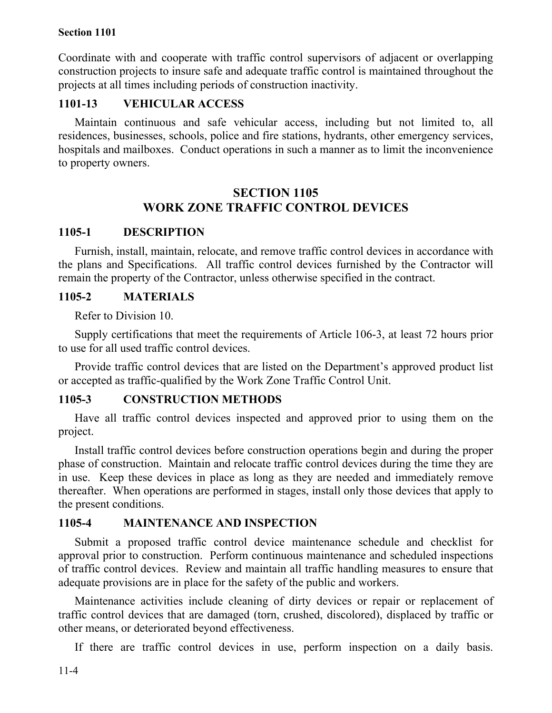Coordinate with and cooperate with traffic control supervisors of adjacent or overlapping construction projects to insure safe and adequate traffic control is maintained throughout the projects at all times including periods of construction inactivity.

#### **1101-13 VEHICULAR ACCESS**

Maintain continuous and safe vehicular access, including but not limited to, all residences, businesses, schools, police and fire stations, hydrants, other emergency services, hospitals and mailboxes. Conduct operations in such a manner as to limit the inconvenience to property owners.

# **SECTION 1105 WORK ZONE TRAFFIC CONTROL DEVICES**

#### **1105-1 DESCRIPTION**

Furnish, install, maintain, relocate, and remove traffic control devices in accordance with the plans and Specifications. All traffic control devices furnished by the Contractor will remain the property of the Contractor, unless otherwise specified in the contract.

#### **1105-2 MATERIALS**

Refer to Division 10.

Supply certifications that meet the requirements of Article 106-3, at least 72 hours prior to use for all used traffic control devices.

Provide traffic control devices that are listed on the Department's approved product list or accepted as traffic-qualified by the Work Zone Traffic Control Unit.

#### **1105-3 CONSTRUCTION METHODS**

Have all traffic control devices inspected and approved prior to using them on the project.

Install traffic control devices before construction operations begin and during the proper phase of construction. Maintain and relocate traffic control devices during the time they are in use. Keep these devices in place as long as they are needed and immediately remove thereafter. When operations are performed in stages, install only those devices that apply to the present conditions.

#### **1105-4 MAINTENANCE AND INSPECTION**

Submit a proposed traffic control device maintenance schedule and checklist for approval prior to construction. Perform continuous maintenance and scheduled inspections of traffic control devices. Review and maintain all traffic handling measures to ensure that adequate provisions are in place for the safety of the public and workers.

Maintenance activities include cleaning of dirty devices or repair or replacement of traffic control devices that are damaged (torn, crushed, discolored), displaced by traffic or other means, or deteriorated beyond effectiveness.

If there are traffic control devices in use, perform inspection on a daily basis.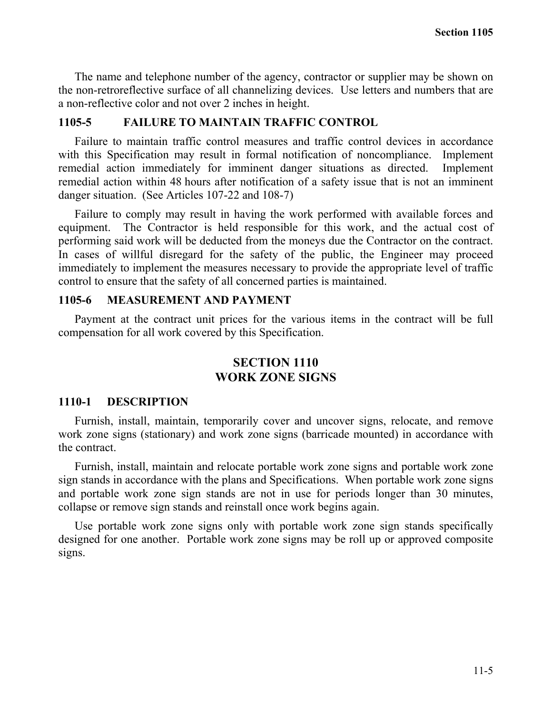The name and telephone number of the agency, contractor or supplier may be shown on the non-retroreflective surface of all channelizing devices. Use letters and numbers that are a non-reflective color and not over 2 inches in height.

#### **1105-5 FAILURE TO MAINTAIN TRAFFIC CONTROL**

Failure to maintain traffic control measures and traffic control devices in accordance with this Specification may result in formal notification of noncompliance. Implement remedial action immediately for imminent danger situations as directed. Implement remedial action within 48 hours after notification of a safety issue that is not an imminent danger situation. (See Articles 107-22 and 108-7)

Failure to comply may result in having the work performed with available forces and equipment. The Contractor is held responsible for this work, and the actual cost of performing said work will be deducted from the moneys due the Contractor on the contract. In cases of willful disregard for the safety of the public, the Engineer may proceed immediately to implement the measures necessary to provide the appropriate level of traffic control to ensure that the safety of all concerned parties is maintained.

#### **1105-6 MEASUREMENT AND PAYMENT**

Payment at the contract unit prices for the various items in the contract will be full compensation for all work covered by this Specification.

# **SECTION 1110 WORK ZONE SIGNS**

#### **1110-1 DESCRIPTION**

Furnish, install, maintain, temporarily cover and uncover signs, relocate, and remove work zone signs (stationary) and work zone signs (barricade mounted) in accordance with the contract.

Furnish, install, maintain and relocate portable work zone signs and portable work zone sign stands in accordance with the plans and Specifications. When portable work zone signs and portable work zone sign stands are not in use for periods longer than 30 minutes, collapse or remove sign stands and reinstall once work begins again.

Use portable work zone signs only with portable work zone sign stands specifically designed for one another. Portable work zone signs may be roll up or approved composite signs.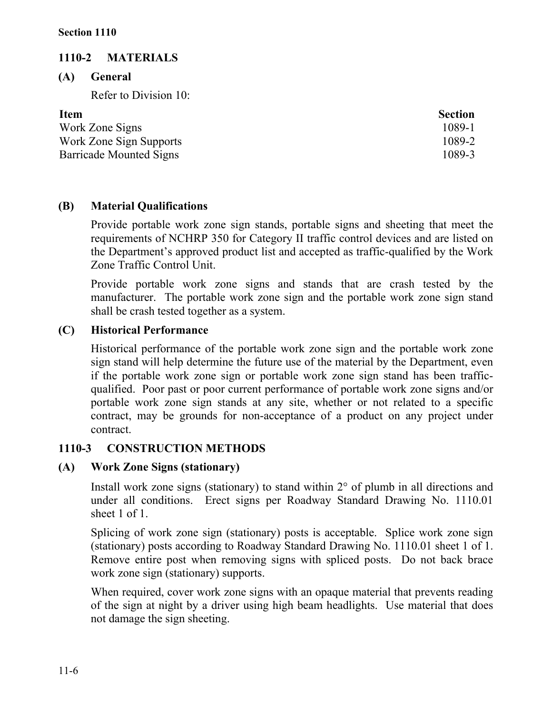# **1110-2 MATERIALS**

**(A) General**

Refer to Division 10:

| <b>Section</b> |
|----------------|
| 1089-1         |
| 1089-2         |
| 1089-3         |
|                |

# **(B) Material Qualifications**

Provide portable work zone sign stands, portable signs and sheeting that meet the requirements of NCHRP 350 for Category II traffic control devices and are listed on the Department's approved product list and accepted as traffic-qualified by the Work Zone Traffic Control Unit.

Provide portable work zone signs and stands that are crash tested by the manufacturer. The portable work zone sign and the portable work zone sign stand shall be crash tested together as a system.

# **(C) Historical Performance**

Historical performance of the portable work zone sign and the portable work zone sign stand will help determine the future use of the material by the Department, even if the portable work zone sign or portable work zone sign stand has been trafficqualified. Poor past or poor current performance of portable work zone signs and/or portable work zone sign stands at any site, whether or not related to a specific contract, may be grounds for non-acceptance of a product on any project under contract.

# **1110-3 CONSTRUCTION METHODS**

# **(A) Work Zone Signs (stationary)**

Install work zone signs (stationary) to stand within  $2^{\circ}$  of plumb in all directions and under all conditions. Erect signs per Roadway Standard Drawing No. 1110.01 sheet 1 of 1.

Splicing of work zone sign (stationary) posts is acceptable. Splice work zone sign (stationary) posts according to Roadway Standard Drawing No. 1110.01 sheet 1 of 1. Remove entire post when removing signs with spliced posts. Do not back brace work zone sign (stationary) supports.

When required, cover work zone signs with an opaque material that prevents reading of the sign at night by a driver using high beam headlights. Use material that does not damage the sign sheeting.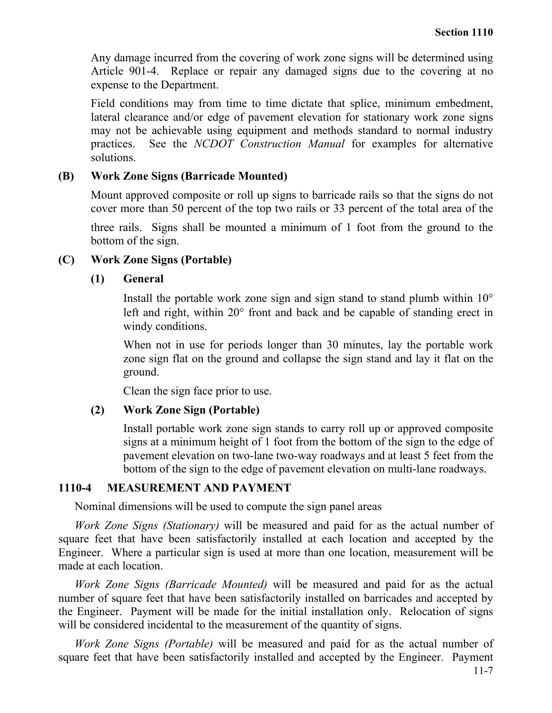Any damage incurred from the covering of work zone signs will be determined using Article 901-4. Replace or repair any damaged signs due to the covering at no expense to the Department.

Field conditions may from time to time dictate that splice, minimum embedment, lateral clearance and/or edge of pavement elevation for stationary work zone signs may not be achievable using equipment and methods standard to normal industry practices. See the *NCDOT Construction Manual* for examples for alternative solutions.

#### **(B) Work Zone Signs (Barricade Mounted)**

Mount approved composite or roll up signs to barricade rails so that the signs do not cover more than 50 percent of the top two rails or 33 percent of the total area of the

three rails. Signs shall be mounted a minimum of 1 foot from the ground to the bottom of the sign.

#### **(C) Work Zone Signs (Portable)**

#### **(1) General**

Install the portable work zone sign and sign stand to stand plumb within 10° left and right, within 20° front and back and be capable of standing erect in windy conditions.

When not in use for periods longer than 30 minutes, lay the portable work zone sign flat on the ground and collapse the sign stand and lay it flat on the ground.

Clean the sign face prior to use.

#### **(2) Work Zone Sign (Portable)**

Install portable work zone sign stands to carry roll up or approved composite signs at a minimum height of 1 foot from the bottom of the sign to the edge of pavement elevation on two-lane two-way roadways and at least 5 feet from the bottom of the sign to the edge of pavement elevation on multi-lane roadways.

#### **1110-4 MEASUREMENT AND PAYMENT**

Nominal dimensions will be used to compute the sign panel areas

*Work Zone Signs (Stationary)* will be measured and paid for as the actual number of square feet that have been satisfactorily installed at each location and accepted by the Engineer. Where a particular sign is used at more than one location, measurement will be made at each location.

*Work Zone Signs (Barricade Mounted)* will be measured and paid for as the actual number of square feet that have been satisfactorily installed on barricades and accepted by the Engineer. Payment will be made for the initial installation only. Relocation of signs will be considered incidental to the measurement of the quantity of signs.

*Work Zone Signs (Portable)* will be measured and paid for as the actual number of square feet that have been satisfactorily installed and accepted by the Engineer. Payment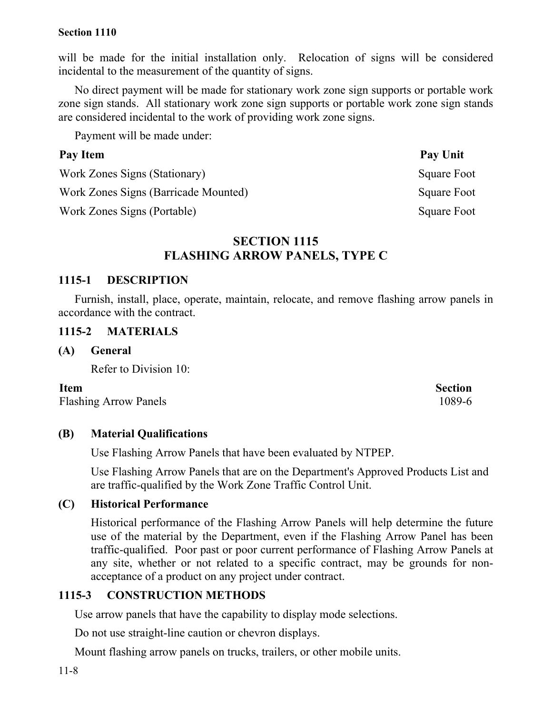will be made for the initial installation only. Relocation of signs will be considered incidental to the measurement of the quantity of signs.

No direct payment will be made for stationary work zone sign supports or portable work zone sign stands. All stationary work zone sign supports or portable work zone sign stands are considered incidental to the work of providing work zone signs.

Payment will be made under:

#### Pay Item Pay Unit

Work Zones Signs (Stationary) Square Foot

Work Zones Signs (Barricade Mounted) Square Foot

Work Zones Signs (Portable) Square Foot

# **SECTION 1115 FLASHING ARROW PANELS, TYPE C**

#### **1115-1 DESCRIPTION**

Furnish, install, place, operate, maintain, relocate, and remove flashing arrow panels in accordance with the contract.

#### **1115-2 MATERIALS**

**(A) General**

Refer to Division 10:

Flashing Arrow Panels 1089-6

#### **(B) Material Qualifications**

Use Flashing Arrow Panels that have been evaluated by NTPEP.

Use Flashing Arrow Panels that are on the Department's Approved Products List and are traffic-qualified by the Work Zone Traffic Control Unit.

#### **(C) Historical Performance**

Historical performance of the Flashing Arrow Panels will help determine the future use of the material by the Department, even if the Flashing Arrow Panel has been traffic-qualified. Poor past or poor current performance of Flashing Arrow Panels at any site, whether or not related to a specific contract, may be grounds for nonacceptance of a product on any project under contract.

#### **1115-3 CONSTRUCTION METHODS**

Use arrow panels that have the capability to display mode selections.

Do not use straight-line caution or chevron displays.

Mount flashing arrow panels on trucks, trailers, or other mobile units.

**Item** Section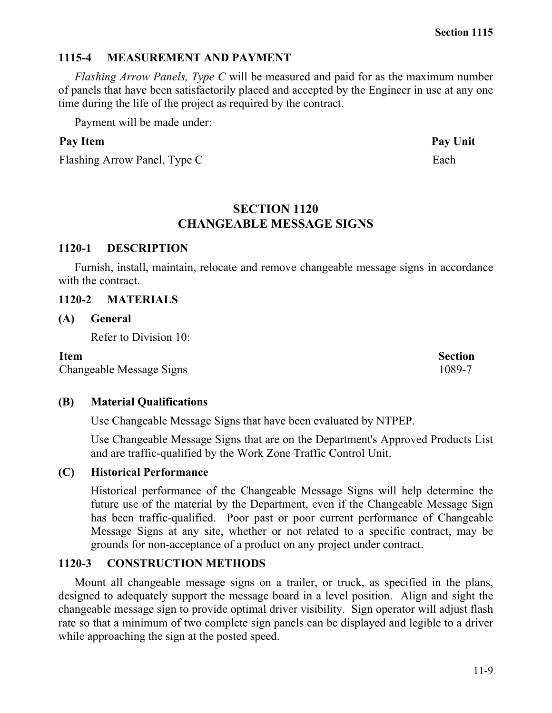#### **1115-4 MEASUREMENT AND PAYMENT**

*Flashing Arrow Panels, Type C* will be measured and paid for as the maximum number of panels that have been satisfactorily placed and accepted by the Engineer in use at any one time during the life of the project as required by the contract.

Payment will be made under:

# Pay Item **Pay Unit**

Flashing Arrow Panel, Type C Each

# **SECTION 1120 CHANGEABLE MESSAGE SIGNS**

# **1120-1 DESCRIPTION**

Furnish, install, maintain, relocate and remove changeable message signs in accordance with the contract.

# **1120-2 MATERIALS**

# **(A) General**

Refer to Division 10:

Changeable Message Signs 1089-7

# **(B) Material Qualifications**

Use Changeable Message Signs that have been evaluated by NTPEP.

Use Changeable Message Signs that are on the Department's Approved Products List and are traffic-qualified by the Work Zone Traffic Control Unit.

# **(C) Historical Performance**

Historical performance of the Changeable Message Signs will help determine the future use of the material by the Department, even if the Changeable Message Sign has been traffic-qualified. Poor past or poor current performance of Changeable Message Signs at any site, whether or not related to a specific contract, may be grounds for non-acceptance of a product on any project under contract.

# **1120-3 CONSTRUCTION METHODS**

Mount all changeable message signs on a trailer, or truck, as specified in the plans, designed to adequately support the message board in a level position. Align and sight the changeable message sign to provide optimal driver visibility. Sign operator will adjust flash rate so that a minimum of two complete sign panels can be displayed and legible to a driver while approaching the sign at the posted speed.

# **Item** Section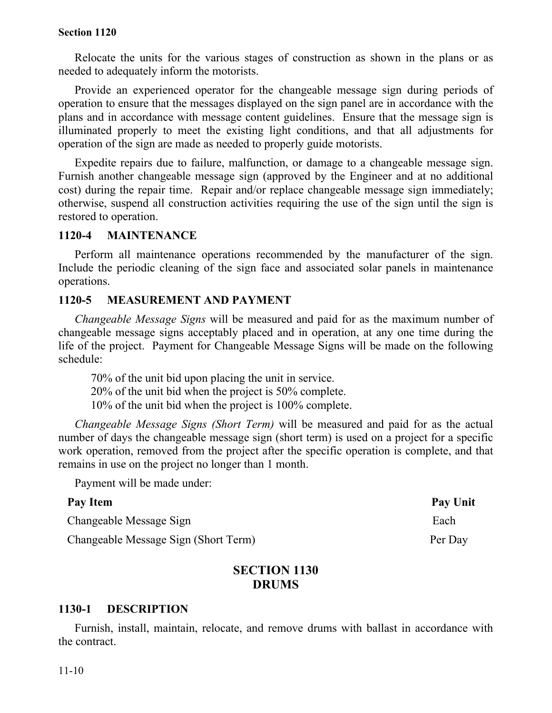Relocate the units for the various stages of construction as shown in the plans or as needed to adequately inform the motorists.

Provide an experienced operator for the changeable message sign during periods of operation to ensure that the messages displayed on the sign panel are in accordance with the plans and in accordance with message content guidelines. Ensure that the message sign is illuminated properly to meet the existing light conditions, and that all adjustments for operation of the sign are made as needed to properly guide motorists.

Expedite repairs due to failure, malfunction, or damage to a changeable message sign. Furnish another changeable message sign (approved by the Engineer and at no additional cost) during the repair time. Repair and/or replace changeable message sign immediately; otherwise, suspend all construction activities requiring the use of the sign until the sign is restored to operation.

#### **1120-4 MAINTENANCE**

Perform all maintenance operations recommended by the manufacturer of the sign. Include the periodic cleaning of the sign face and associated solar panels in maintenance operations.

#### **1120-5 MEASUREMENT AND PAYMENT**

*Changeable Message Signs* will be measured and paid for as the maximum number of changeable message signs acceptably placed and in operation, at any one time during the life of the project. Payment for Changeable Message Signs will be made on the following schedule:

70% of the unit bid upon placing the unit in service. 20% of the unit bid when the project is 50% complete. 10% of the unit bid when the project is 100% complete.

*Changeable Message Signs (Short Term)* will be measured and paid for as the actual number of days the changeable message sign (short term) is used on a project for a specific work operation, removed from the project after the specific operation is complete, and that remains in use on the project no longer than 1 month.

Payment will be made under:

| Pay Item                             | Pay Unit |
|--------------------------------------|----------|
| Changeable Message Sign              | Each     |
| Changeable Message Sign (Short Term) | Per Day  |

# **SECTION 1130 DRUMS**

#### **1130-1 DESCRIPTION**

Furnish, install, maintain, relocate, and remove drums with ballast in accordance with the contract.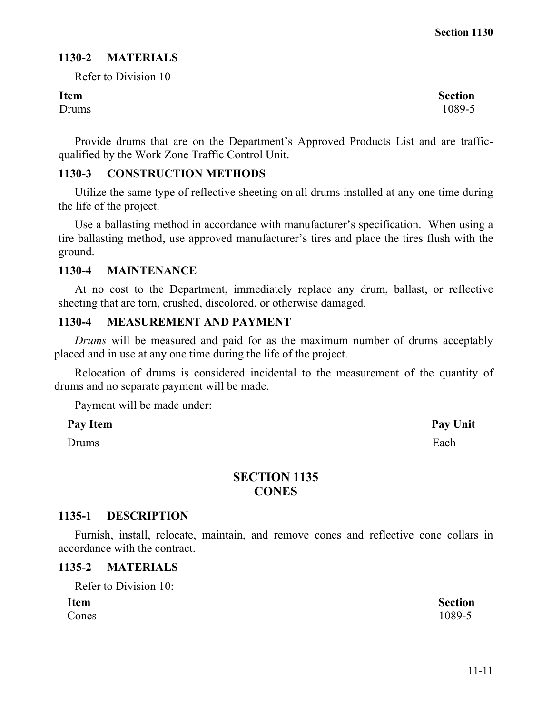## **1130-2 MATERIALS**

Refer to Division 10

Drums 1089-5

Provide drums that are on the Department's Approved Products List and are trafficqualified by the Work Zone Traffic Control Unit.

# **1130-3 CONSTRUCTION METHODS**

Utilize the same type of reflective sheeting on all drums installed at any one time during the life of the project.

Use a ballasting method in accordance with manufacturer's specification. When using a tire ballasting method, use approved manufacturer's tires and place the tires flush with the ground.

#### **1130-4 MAINTENANCE**

At no cost to the Department, immediately replace any drum, ballast, or reflective sheeting that are torn, crushed, discolored, or otherwise damaged.

#### **1130-4 MEASUREMENT AND PAYMENT**

*Drums* will be measured and paid for as the maximum number of drums acceptably placed and in use at any one time during the life of the project.

Relocation of drums is considered incidental to the measurement of the quantity of drums and no separate payment will be made.

Payment will be made under:

#### Pay Item Pay Unit

Drums **Each** 

# **SECTION 1135 CONES**

#### **1135-1 DESCRIPTION**

Furnish, install, relocate, maintain, and remove cones and reflective cone collars in accordance with the contract.

#### **1135-2 MATERIALS**

Refer to Division 10:

| <b>Item</b> | <b>Section</b> |
|-------------|----------------|
| Cones       | 1089-5         |

**Item** Section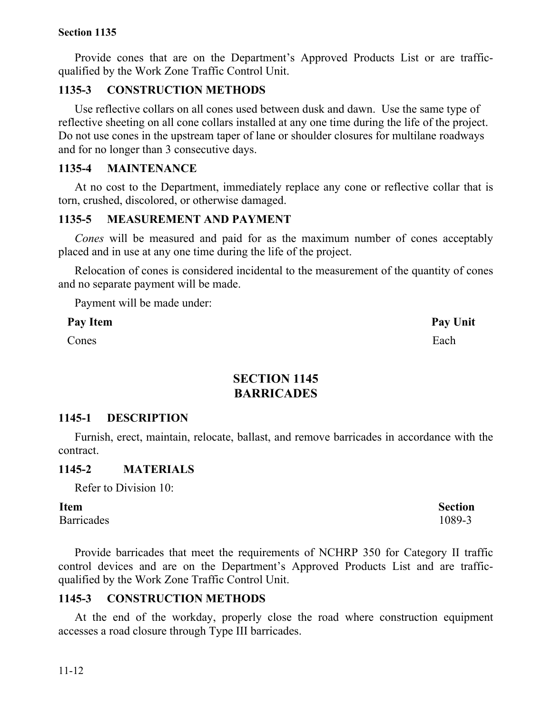Provide cones that are on the Department's Approved Products List or are trafficqualified by the Work Zone Traffic Control Unit.

# **1135-3 CONSTRUCTION METHODS**

Use reflective collars on all cones used between dusk and dawn. Use the same type of reflective sheeting on all cone collars installed at any one time during the life of the project. Do not use cones in the upstream taper of lane or shoulder closures for multilane roadways and for no longer than 3 consecutive days.

#### **1135-4 MAINTENANCE**

At no cost to the Department, immediately replace any cone or reflective collar that is torn, crushed, discolored, or otherwise damaged.

#### **1135-5 MEASUREMENT AND PAYMENT**

*Cones* will be measured and paid for as the maximum number of cones acceptably placed and in use at any one time during the life of the project.

Relocation of cones is considered incidental to the measurement of the quantity of cones and no separate payment will be made.

Payment will be made under:

Pay Item **Pay Unit** 

**Cones** Each

# **SECTION 1145 BARRICADES**

#### **1145-1 DESCRIPTION**

Furnish, erect, maintain, relocate, ballast, and remove barricades in accordance with the contract.

#### **1145-2 MATERIALS**

Refer to Division 10:

Barricades 1089-3

Provide barricades that meet the requirements of NCHRP 350 for Category II traffic control devices and are on the Department's Approved Products List and are trafficqualified by the Work Zone Traffic Control Unit.

#### **1145-3 CONSTRUCTION METHODS**

At the end of the workday, properly close the road where construction equipment accesses a road closure through Type III barricades.

**Item** Section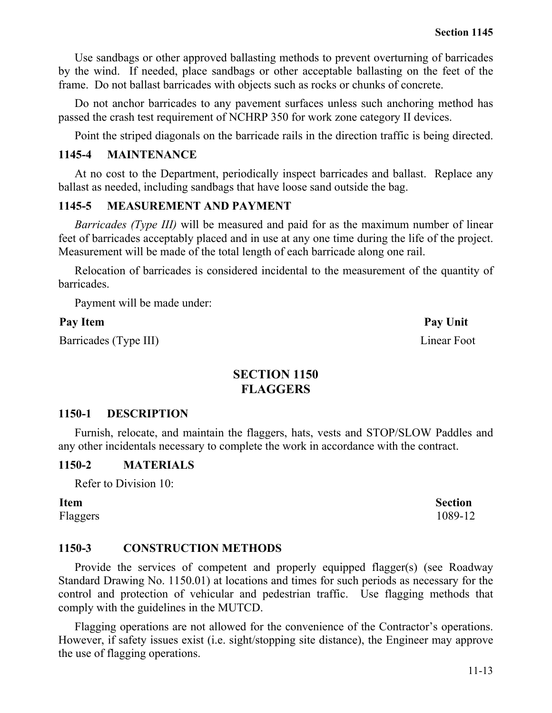Use sandbags or other approved ballasting methods to prevent overturning of barricades by the wind. If needed, place sandbags or other acceptable ballasting on the feet of the frame. Do not ballast barricades with objects such as rocks or chunks of concrete.

Do not anchor barricades to any pavement surfaces unless such anchoring method has passed the crash test requirement of NCHRP 350 for work zone category II devices.

Point the striped diagonals on the barricade rails in the direction traffic is being directed.

#### **1145-4 MAINTENANCE**

At no cost to the Department, periodically inspect barricades and ballast. Replace any ballast as needed, including sandbags that have loose sand outside the bag.

#### **1145-5 MEASUREMENT AND PAYMENT**

*Barricades (Type III)* will be measured and paid for as the maximum number of linear feet of barricades acceptably placed and in use at any one time during the life of the project. Measurement will be made of the total length of each barricade along one rail.

Relocation of barricades is considered incidental to the measurement of the quantity of barricades.

Payment will be made under:

#### Pay Item **Pay Unit**

Barricades (Type III) Linear Foot

# **SECTION 1150 FLAGGERS**

#### **1150-1 DESCRIPTION**

Furnish, relocate, and maintain the flaggers, hats, vests and STOP/SLOW Paddles and any other incidentals necessary to complete the work in accordance with the contract.

#### **1150-2 MATERIALS**

Refer to Division 10:

**Item** Section Flaggers 1089-12

#### **1150-3 CONSTRUCTION METHODS**

Provide the services of competent and properly equipped flagger(s) (see Roadway Standard Drawing No. 1150.01) at locations and times for such periods as necessary for the control and protection of vehicular and pedestrian traffic. Use flagging methods that comply with the guidelines in the MUTCD.

Flagging operations are not allowed for the convenience of the Contractor's operations. However, if safety issues exist (i.e. sight/stopping site distance), the Engineer may approve the use of flagging operations.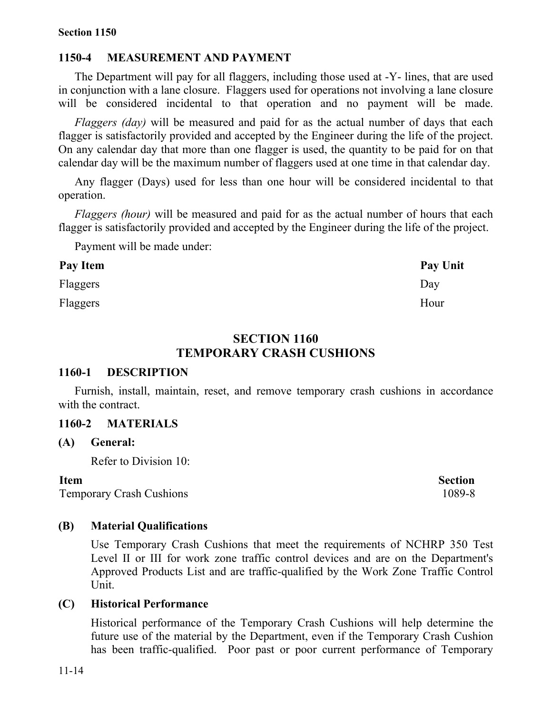# **1150-4 MEASUREMENT AND PAYMENT**

The Department will pay for all flaggers, including those used at -Y- lines, that are used in conjunction with a lane closure. Flaggers used for operations not involving a lane closure will be considered incidental to that operation and no payment will be made.

*Flaggers (day)* will be measured and paid for as the actual number of days that each flagger is satisfactorily provided and accepted by the Engineer during the life of the project. On any calendar day that more than one flagger is used, the quantity to be paid for on that calendar day will be the maximum number of flaggers used at one time in that calendar day.

Any flagger (Days) used for less than one hour will be considered incidental to that operation.

*Flaggers (hour)* will be measured and paid for as the actual number of hours that each flagger is satisfactorily provided and accepted by the Engineer during the life of the project.

Payment will be made under:

| Pay Item | Pay Unit |
|----------|----------|
| Flaggers | Day      |
| Flaggers | Hour     |

#### **SECTION 1160 TEMPORARY CRASH CUSHIONS**

#### **1160-1 DESCRIPTION**

Furnish, install, maintain, reset, and remove temporary crash cushions in accordance with the contract.

# **1160-2 MATERIALS**

#### **(A) General:**

Refer to Division 10:

#### **Item** Section

Temporary Crash Cushions 1089-8

#### **(B) Material Qualifications**

Use Temporary Crash Cushions that meet the requirements of NCHRP 350 Test Level II or III for work zone traffic control devices and are on the Department's Approved Products List and are traffic-qualified by the Work Zone Traffic Control Unit.

#### **(C) Historical Performance**

Historical performance of the Temporary Crash Cushions will help determine the future use of the material by the Department, even if the Temporary Crash Cushion has been traffic-qualified. Poor past or poor current performance of Temporary

11-14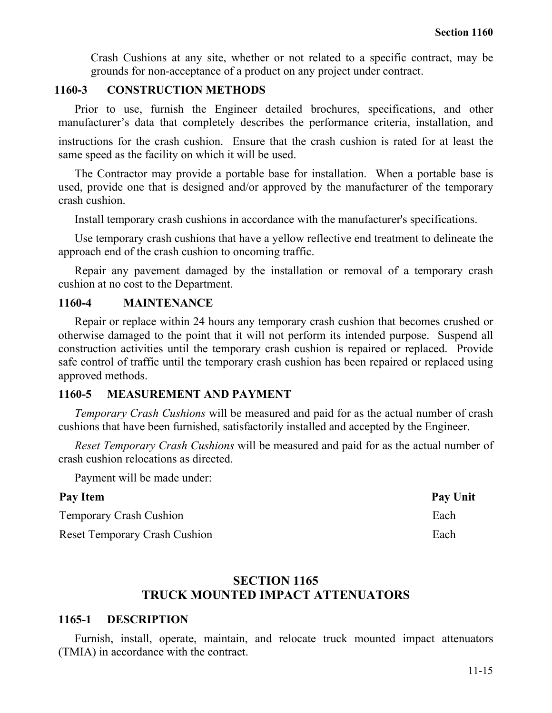Crash Cushions at any site, whether or not related to a specific contract, may be grounds for non-acceptance of a product on any project under contract.

# **1160-3 CONSTRUCTION METHODS**

Prior to use, furnish the Engineer detailed brochures, specifications, and other manufacturer's data that completely describes the performance criteria, installation, and

instructions for the crash cushion. Ensure that the crash cushion is rated for at least the same speed as the facility on which it will be used.

The Contractor may provide a portable base for installation. When a portable base is used, provide one that is designed and/or approved by the manufacturer of the temporary crash cushion.

Install temporary crash cushions in accordance with the manufacturer's specifications.

Use temporary crash cushions that have a yellow reflective end treatment to delineate the approach end of the crash cushion to oncoming traffic.

Repair any pavement damaged by the installation or removal of a temporary crash cushion at no cost to the Department.

#### **1160-4 MAINTENANCE**

Repair or replace within 24 hours any temporary crash cushion that becomes crushed or otherwise damaged to the point that it will not perform its intended purpose. Suspend all construction activities until the temporary crash cushion is repaired or replaced. Provide safe control of traffic until the temporary crash cushion has been repaired or replaced using approved methods.

#### **1160-5 MEASUREMENT AND PAYMENT**

*Temporary Crash Cushions* will be measured and paid for as the actual number of crash cushions that have been furnished, satisfactorily installed and accepted by the Engineer.

*Reset Temporary Crash Cushions* will be measured and paid for as the actual number of crash cushion relocations as directed.

Payment will be made under:

| Pay Item                             | Pay Unit |
|--------------------------------------|----------|
| <b>Temporary Crash Cushion</b>       | Each     |
| <b>Reset Temporary Crash Cushion</b> | Each     |

# **SECTION 1165 TRUCK MOUNTED IMPACT ATTENUATORS**

#### **1165-1 DESCRIPTION**

Furnish, install, operate, maintain, and relocate truck mounted impact attenuators (TMIA) in accordance with the contract.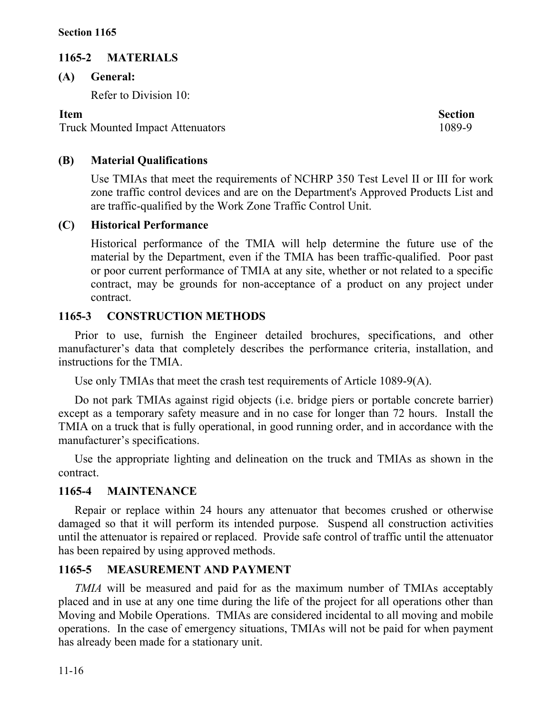# **1165-2 MATERIALS**

**(A) General:**

Refer to Division 10:

Truck Mounted Impact Attenuators 1089-9

**Item** Section

# **(B) Material Qualifications**

Use TMIAs that meet the requirements of NCHRP 350 Test Level II or III for work zone traffic control devices and are on the Department's Approved Products List and are traffic-qualified by the Work Zone Traffic Control Unit.

# **(C) Historical Performance**

Historical performance of the TMIA will help determine the future use of the material by the Department, even if the TMIA has been traffic-qualified. Poor past or poor current performance of TMIA at any site, whether or not related to a specific contract, may be grounds for non-acceptance of a product on any project under contract.

# **1165-3 CONSTRUCTION METHODS**

Prior to use, furnish the Engineer detailed brochures, specifications, and other manufacturer's data that completely describes the performance criteria, installation, and instructions for the TMIA.

Use only TMIAs that meet the crash test requirements of Article 1089-9(A).

Do not park TMIAs against rigid objects (i.e. bridge piers or portable concrete barrier) except as a temporary safety measure and in no case for longer than 72 hours. Install the TMIA on a truck that is fully operational, in good running order, and in accordance with the manufacturer's specifications.

Use the appropriate lighting and delineation on the truck and TMIAs as shown in the contract.

# **1165-4 MAINTENANCE**

Repair or replace within 24 hours any attenuator that becomes crushed or otherwise damaged so that it will perform its intended purpose. Suspend all construction activities until the attenuator is repaired or replaced. Provide safe control of traffic until the attenuator has been repaired by using approved methods.

# **1165-5 MEASUREMENT AND PAYMENT**

*TMIA* will be measured and paid for as the maximum number of TMIAs acceptably placed and in use at any one time during the life of the project for all operations other than Moving and Mobile Operations. TMIAs are considered incidental to all moving and mobile operations. In the case of emergency situations, TMIAs will not be paid for when payment has already been made for a stationary unit.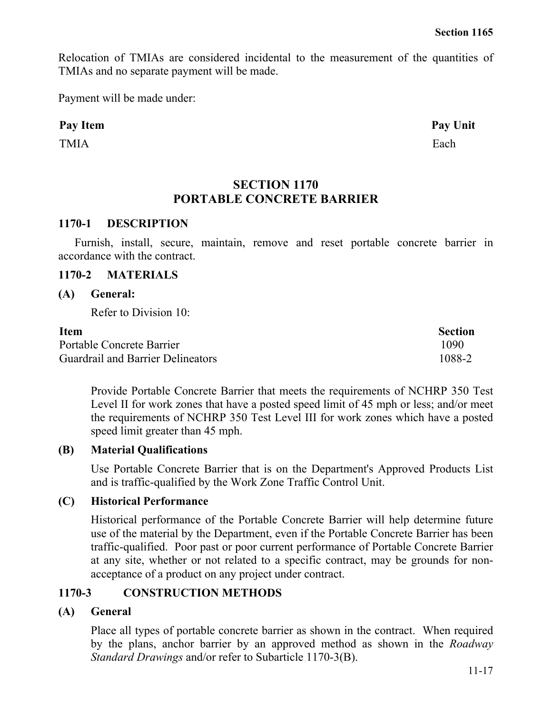Relocation of TMIAs are considered incidental to the measurement of the quantities of TMIAs and no separate payment will be made.

Payment will be made under:

#### Pay Item **Pay Unit**

TMIA Each

## **SECTION 1170 PORTABLE CONCRETE BARRIER**

#### **1170-1 DESCRIPTION**

Furnish, install, secure, maintain, remove and reset portable concrete barrier in accordance with the contract.

#### **1170-2 MATERIALS**

#### **(A) General:**

Refer to Division 10:

#### **Item** Section

Portable Concrete Barrier 1090 Guardrail and Barrier Delineators 1088-2

Provide Portable Concrete Barrier that meets the requirements of NCHRP 350 Test Level II for work zones that have a posted speed limit of 45 mph or less; and/or meet the requirements of NCHRP 350 Test Level III for work zones which have a posted speed limit greater than 45 mph.

#### **(B) Material Qualifications**

Use Portable Concrete Barrier that is on the Department's Approved Products List and is traffic-qualified by the Work Zone Traffic Control Unit.

#### **(C) Historical Performance**

Historical performance of the Portable Concrete Barrier will help determine future use of the material by the Department, even if the Portable Concrete Barrier has been traffic-qualified. Poor past or poor current performance of Portable Concrete Barrier at any site, whether or not related to a specific contract, may be grounds for nonacceptance of a product on any project under contract.

#### **1170-3 CONSTRUCTION METHODS**

#### **(A) General**

Place all types of portable concrete barrier as shown in the contract. When required by the plans, anchor barrier by an approved method as shown in the *Roadway Standard Drawings* and/or refer to Subarticle 1170-3(B).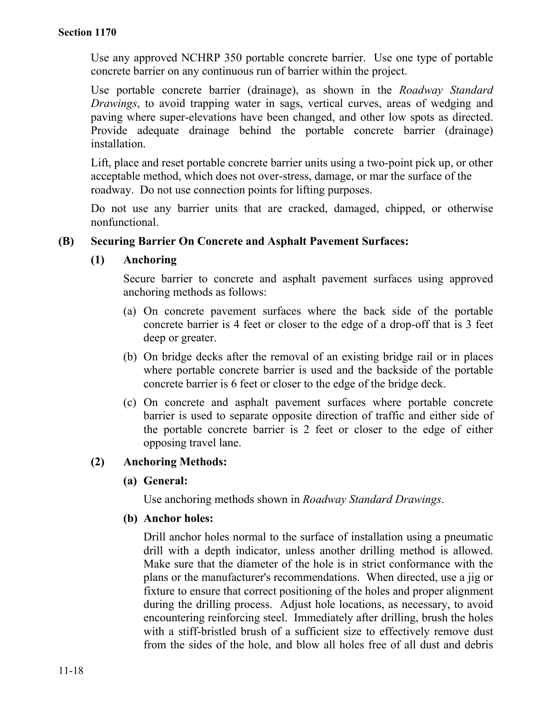Use any approved NCHRP 350 portable concrete barrier. Use one type of portable concrete barrier on any continuous run of barrier within the project.

Use portable concrete barrier (drainage), as shown in the *Roadway Standard Drawings*, to avoid trapping water in sags, vertical curves, areas of wedging and paving where super-elevations have been changed, and other low spots as directed. Provide adequate drainage behind the portable concrete barrier (drainage) installation.

Lift, place and reset portable concrete barrier units using a two-point pick up, or other acceptable method, which does not over-stress, damage, or mar the surface of the roadway. Do not use connection points for lifting purposes.

Do not use any barrier units that are cracked, damaged, chipped, or otherwise nonfunctional.

#### **(B) Securing Barrier On Concrete and Asphalt Pavement Surfaces:**

# **(1) Anchoring**

Secure barrier to concrete and asphalt pavement surfaces using approved anchoring methods as follows:

- (a) On concrete pavement surfaces where the back side of the portable concrete barrier is 4 feet or closer to the edge of a drop-off that is 3 feet deep or greater.
- (b) On bridge decks after the removal of an existing bridge rail or in places where portable concrete barrier is used and the backside of the portable concrete barrier is 6 feet or closer to the edge of the bridge deck.
- (c) On concrete and asphalt pavement surfaces where portable concrete barrier is used to separate opposite direction of traffic and either side of the portable concrete barrier is 2 feet or closer to the edge of either opposing travel lane.

#### **(2) Anchoring Methods:**

#### **(a) General:**

Use anchoring methods shown in *Roadway Standard Drawings*.

#### **(b) Anchor holes:**

Drill anchor holes normal to the surface of installation using a pneumatic drill with a depth indicator, unless another drilling method is allowed. Make sure that the diameter of the hole is in strict conformance with the plans or the manufacturer's recommendations. When directed, use a jig or fixture to ensure that correct positioning of the holes and proper alignment during the drilling process. Adjust hole locations, as necessary, to avoid encountering reinforcing steel. Immediately after drilling, brush the holes with a stiff-bristled brush of a sufficient size to effectively remove dust from the sides of the hole, and blow all holes free of all dust and debris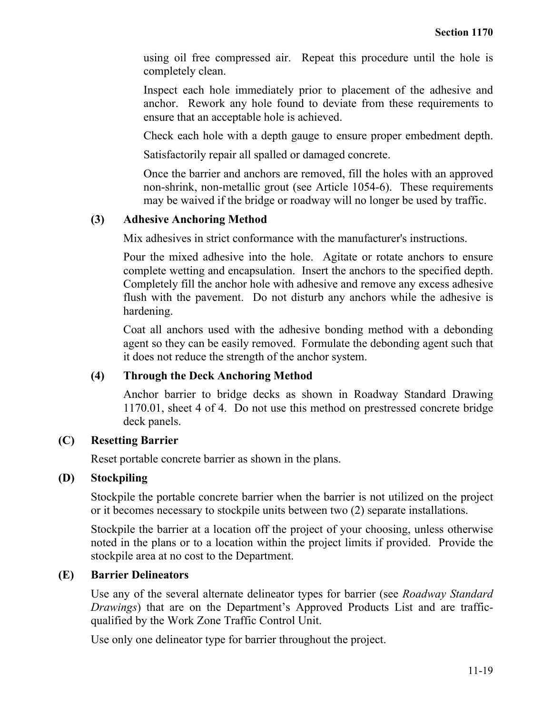using oil free compressed air. Repeat this procedure until the hole is completely clean.

Inspect each hole immediately prior to placement of the adhesive and anchor. Rework any hole found to deviate from these requirements to ensure that an acceptable hole is achieved.

Check each hole with a depth gauge to ensure proper embedment depth.

Satisfactorily repair all spalled or damaged concrete.

Once the barrier and anchors are removed, fill the holes with an approved non-shrink, non-metallic grout (see Article 1054-6). These requirements may be waived if the bridge or roadway will no longer be used by traffic.

#### **(3) Adhesive Anchoring Method**

Mix adhesives in strict conformance with the manufacturer's instructions.

Pour the mixed adhesive into the hole. Agitate or rotate anchors to ensure complete wetting and encapsulation. Insert the anchors to the specified depth. Completely fill the anchor hole with adhesive and remove any excess adhesive flush with the pavement. Do not disturb any anchors while the adhesive is hardening.

Coat all anchors used with the adhesive bonding method with a debonding agent so they can be easily removed. Formulate the debonding agent such that it does not reduce the strength of the anchor system.

#### **(4) Through the Deck Anchoring Method**

Anchor barrier to bridge decks as shown in Roadway Standard Drawing 1170.01, sheet 4 of 4. Do not use this method on prestressed concrete bridge deck panels.

#### **(C) Resetting Barrier**

Reset portable concrete barrier as shown in the plans.

#### **(D) Stockpiling**

Stockpile the portable concrete barrier when the barrier is not utilized on the project or it becomes necessary to stockpile units between two (2) separate installations.

Stockpile the barrier at a location off the project of your choosing, unless otherwise noted in the plans or to a location within the project limits if provided. Provide the stockpile area at no cost to the Department.

#### **(E) Barrier Delineators**

Use any of the several alternate delineator types for barrier (see *Roadway Standard Drawings*) that are on the Department's Approved Products List and are trafficqualified by the Work Zone Traffic Control Unit.

Use only one delineator type for barrier throughout the project.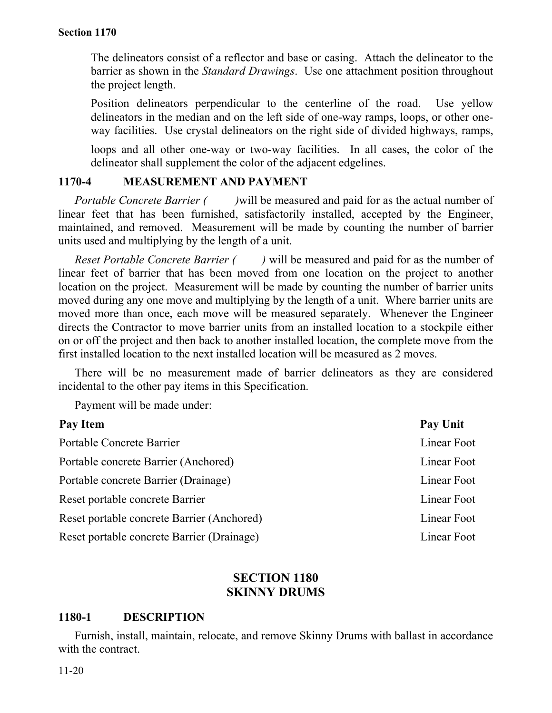The delineators consist of a reflector and base or casing. Attach the delineator to the barrier as shown in the *Standard Drawings*. Use one attachment position throughout the project length.

Position delineators perpendicular to the centerline of the road. Use yellow delineators in the median and on the left side of one-way ramps, loops, or other oneway facilities. Use crystal delineators on the right side of divided highways, ramps,

loops and all other one-way or two-way facilities. In all cases, the color of the delineator shall supplement the color of the adjacent edgelines.

#### **1170-4 MEASUREMENT AND PAYMENT**

*Portable Concrete Barrier (* ) will be measured and paid for as the actual number of linear feet that has been furnished, satisfactorily installed, accepted by the Engineer, maintained, and removed. Measurement will be made by counting the number of barrier units used and multiplying by the length of a unit.

*Reset Portable Concrete Barrier ( )* will be measured and paid for as the number of linear feet of barrier that has been moved from one location on the project to another location on the project. Measurement will be made by counting the number of barrier units moved during any one move and multiplying by the length of a unit. Where barrier units are moved more than once, each move will be measured separately. Whenever the Engineer directs the Contractor to move barrier units from an installed location to a stockpile either on or off the project and then back to another installed location, the complete move from the first installed location to the next installed location will be measured as 2 moves.

There will be no measurement made of barrier delineators as they are considered incidental to the other pay items in this Specification.

Payment will be made under:

| Pay Item                                   | Pay Unit    |
|--------------------------------------------|-------------|
| Portable Concrete Barrier                  | Linear Foot |
| Portable concrete Barrier (Anchored)       | Linear Foot |
| Portable concrete Barrier (Drainage)       | Linear Foot |
| Reset portable concrete Barrier            | Linear Foot |
| Reset portable concrete Barrier (Anchored) | Linear Foot |
| Reset portable concrete Barrier (Drainage) | Linear Foot |

#### **SECTION 1180 SKINNY DRUMS**

#### **1180-1 DESCRIPTION**

Furnish, install, maintain, relocate, and remove Skinny Drums with ballast in accordance with the contract.